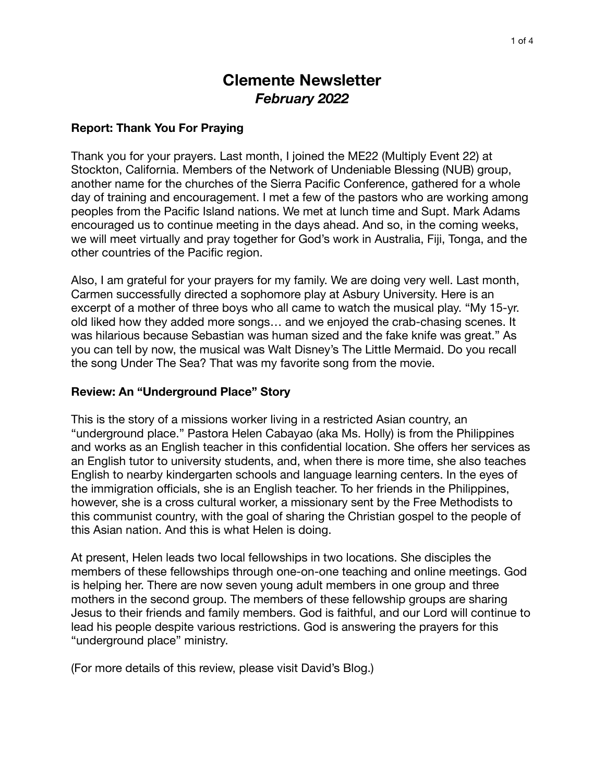# **Clemente Newsletter**  *February 2022*

#### **Report: Thank You For Praying**

Thank you for your prayers. Last month, I joined the ME22 (Multiply Event 22) at Stockton, California. Members of the Network of Undeniable Blessing (NUB) group, another name for the churches of the Sierra Pacific Conference, gathered for a whole day of training and encouragement. I met a few of the pastors who are working among peoples from the Pacific Island nations. We met at lunch time and Supt. Mark Adams encouraged us to continue meeting in the days ahead. And so, in the coming weeks, we will meet virtually and pray together for God's work in Australia, Fiji, Tonga, and the other countries of the Pacific region.

Also, I am grateful for your prayers for my family. We are doing very well. Last month, Carmen successfully directed a sophomore play at Asbury University. Here is an excerpt of a mother of three boys who all came to watch the musical play. "My 15-yr. old liked how they added more songs… and we enjoyed the crab-chasing scenes. It was hilarious because Sebastian was human sized and the fake knife was great." As you can tell by now, the musical was Walt Disney's The Little Mermaid. Do you recall the song Under The Sea? That was my favorite song from the movie.

#### **Review: An "Underground Place" Story**

This is the story of a missions worker living in a restricted Asian country, an "underground place." Pastora Helen Cabayao (aka Ms. Holly) is from the Philippines and works as an English teacher in this confidential location. She offers her services as an English tutor to university students, and, when there is more time, she also teaches English to nearby kindergarten schools and language learning centers. In the eyes of the immigration officials, she is an English teacher. To her friends in the Philippines, however, she is a cross cultural worker, a missionary sent by the Free Methodists to this communist country, with the goal of sharing the Christian gospel to the people of this Asian nation. And this is what Helen is doing.

At present, Helen leads two local fellowships in two locations. She disciples the members of these fellowships through one-on-one teaching and online meetings. God is helping her. There are now seven young adult members in one group and three mothers in the second group. The members of these fellowship groups are sharing Jesus to their friends and family members. God is faithful, and our Lord will continue to lead his people despite various restrictions. God is answering the prayers for this "underground place" ministry.

(For more details of this review, please visit David's Blog.)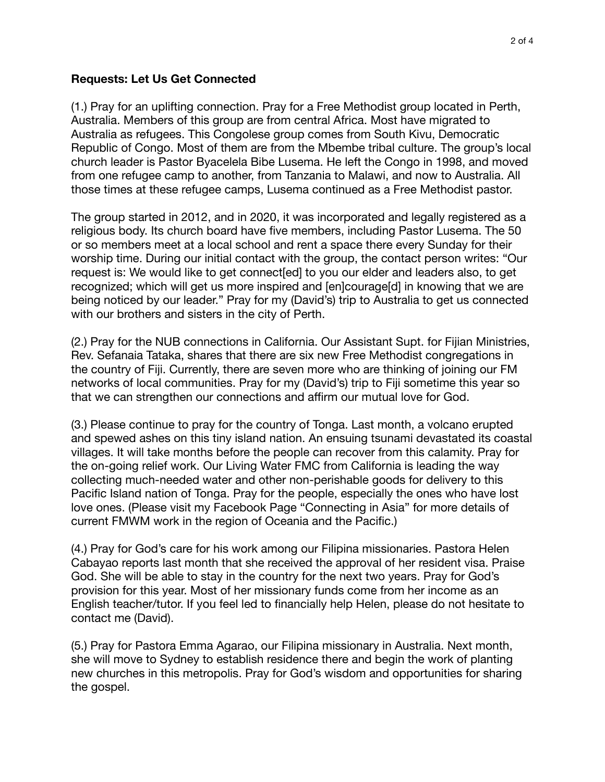#### **Requests: Let Us Get Connected**

(1.) Pray for an uplifting connection. Pray for a Free Methodist group located in Perth, Australia. Members of this group are from central Africa. Most have migrated to Australia as refugees. This Congolese group comes from South Kivu, Democratic Republic of Congo. Most of them are from the Mbembe tribal culture. The group's local church leader is Pastor Byacelela Bibe Lusema. He left the Congo in 1998, and moved from one refugee camp to another, from Tanzania to Malawi, and now to Australia. All those times at these refugee camps, Lusema continued as a Free Methodist pastor.

The group started in 2012, and in 2020, it was incorporated and legally registered as a religious body. Its church board have five members, including Pastor Lusema. The 50 or so members meet at a local school and rent a space there every Sunday for their worship time. During our initial contact with the group, the contact person writes: "Our request is: We would like to get connect[ed] to you our elder and leaders also, to get recognized; which will get us more inspired and [en]courage[d] in knowing that we are being noticed by our leader." Pray for my (David's) trip to Australia to get us connected with our brothers and sisters in the city of Perth.

(2.) Pray for the NUB connections in California. Our Assistant Supt. for Fijian Ministries, Rev. Sefanaia Tataka, shares that there are six new Free Methodist congregations in the country of Fiji. Currently, there are seven more who are thinking of joining our FM networks of local communities. Pray for my (David's) trip to Fiji sometime this year so that we can strengthen our connections and affirm our mutual love for God.

(3.) Please continue to pray for the country of Tonga. Last month, a volcano erupted and spewed ashes on this tiny island nation. An ensuing tsunami devastated its coastal villages. It will take months before the people can recover from this calamity. Pray for the on-going relief work. Our Living Water FMC from California is leading the way collecting much-needed water and other non-perishable goods for delivery to this Pacific Island nation of Tonga. Pray for the people, especially the ones who have lost love ones. (Please visit my Facebook Page "Connecting in Asia" for more details of current FMWM work in the region of Oceania and the Pacific.)

(4.) Pray for God's care for his work among our Filipina missionaries. Pastora Helen Cabayao reports last month that she received the approval of her resident visa. Praise God. She will be able to stay in the country for the next two years. Pray for God's provision for this year. Most of her missionary funds come from her income as an English teacher/tutor. If you feel led to financially help Helen, please do not hesitate to contact me (David).

(5.) Pray for Pastora Emma Agarao, our Filipina missionary in Australia. Next month, she will move to Sydney to establish residence there and begin the work of planting new churches in this metropolis. Pray for God's wisdom and opportunities for sharing the gospel.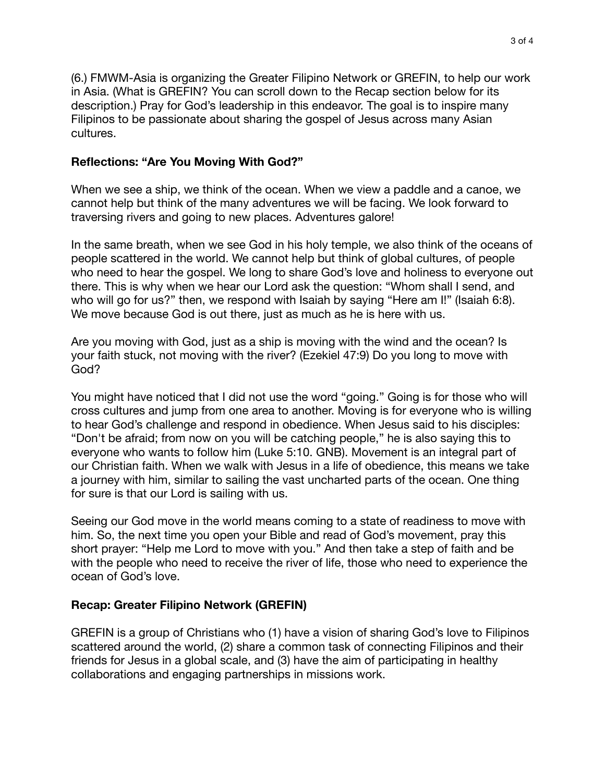(6.) FMWM-Asia is organizing the Greater Filipino Network or GREFIN, to help our work in Asia. (What is GREFIN? You can scroll down to the Recap section below for its description.) Pray for God's leadership in this endeavor. The goal is to inspire many Filipinos to be passionate about sharing the gospel of Jesus across many Asian cultures.

### **Reflections: "Are You Moving With God?"**

When we see a ship, we think of the ocean. When we view a paddle and a canoe, we cannot help but think of the many adventures we will be facing. We look forward to traversing rivers and going to new places. Adventures galore!

In the same breath, when we see God in his holy temple, we also think of the oceans of people scattered in the world. We cannot help but think of global cultures, of people who need to hear the gospel. We long to share God's love and holiness to everyone out there. This is why when we hear our Lord ask the question: "Whom shall I send, and who will go for us?" then, we respond with Isaiah by saying "Here am I!" (Isaiah 6:8). We move because God is out there, just as much as he is here with us.

Are you moving with God, just as a ship is moving with the wind and the ocean? Is your faith stuck, not moving with the river? (Ezekiel 47:9) Do you long to move with God?

You might have noticed that I did not use the word "going." Going is for those who will cross cultures and jump from one area to another. Moving is for everyone who is willing to hear God's challenge and respond in obedience. When Jesus said to his disciples: "Don't be afraid; from now on you will be catching people," he is also saying this to everyone who wants to follow him (Luke 5:10. GNB). Movement is an integral part of our Christian faith. When we walk with Jesus in a life of obedience, this means we take a journey with him, similar to sailing the vast uncharted parts of the ocean. One thing for sure is that our Lord is sailing with us.

Seeing our God move in the world means coming to a state of readiness to move with him. So, the next time you open your Bible and read of God's movement, pray this short prayer: "Help me Lord to move with you." And then take a step of faith and be with the people who need to receive the river of life, those who need to experience the ocean of God's love.

## **Recap: Greater Filipino Network (GREFIN)**

GREFIN is a group of Christians who (1) have a vision of sharing God's love to Filipinos scattered around the world, (2) share a common task of connecting Filipinos and their friends for Jesus in a global scale, and (3) have the aim of participating in healthy collaborations and engaging partnerships in missions work.